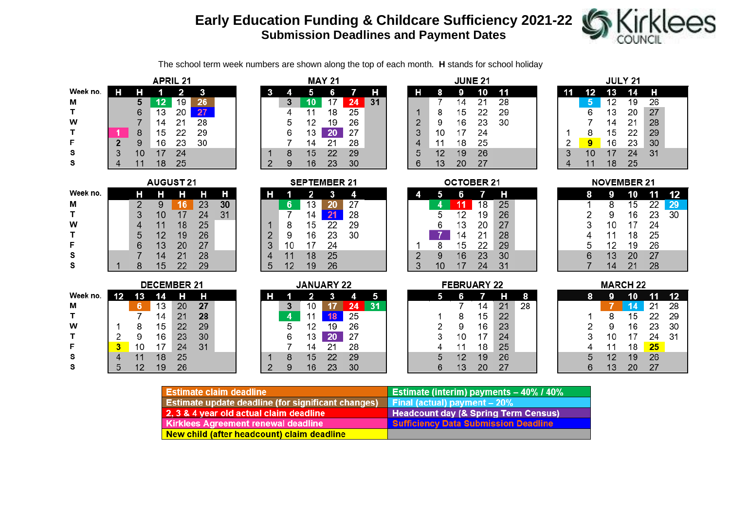## **Early Education Funding & Childcare Sufficiency 2021-22 Submission Deadlines and Payment Dates**

Н

 $31$ 



The school term week numbers are shown along the top of each month. **H** stands for school holiday

 $\overline{7}$ 

**MAY 21** 

6

 $\sqrt{5}$ 

|          | <b>APRIL 21</b> |    |    |    |    |  |  |  |  |  |  |  |  |
|----------|-----------------|----|----|----|----|--|--|--|--|--|--|--|--|
| Week no. |                 | н  |    | 2  | 3  |  |  |  |  |  |  |  |  |
| М        |                 | 5  | 12 | 19 | 26 |  |  |  |  |  |  |  |  |
| T        |                 | 6  | 13 | 20 | 27 |  |  |  |  |  |  |  |  |
| W        |                 | 7  | 14 | 21 | 28 |  |  |  |  |  |  |  |  |
| т        | 1               | 8  | 15 | 22 | 29 |  |  |  |  |  |  |  |  |
| F        | $\overline{2}$  | 9  | 16 | 23 | 30 |  |  |  |  |  |  |  |  |
| S        | 3               | 10 | 17 | 24 |    |  |  |  |  |  |  |  |  |
| S        |                 | 11 | 18 | 25 |    |  |  |  |  |  |  |  |  |

|  |                | 3 | 10 | 17           | 24 |
|--|----------------|---|----|--------------|----|
|  |                | 4 | 11 | 18           | 25 |
|  |                | 5 | 12 | 19           | 26 |
|  |                | 6 | 13 | 20           | 27 |
|  |                |   | 14 | 21           | 28 |
|  |                | 8 | 15 | 22           | 29 |
|  | $\overline{2}$ | 9 | 16 | 23           | 30 |
|  |                |   |    |              |    |
|  |                |   |    | SEPTEMBER 21 |    |

 $\overline{A}$ 

|               |    |    |    | ו ג הבנ |  |
|---------------|----|----|----|---------|--|
|               |    | 2  | 3  | 4       |  |
|               | 6  | 13 | 20 | 27      |  |
|               | 7  | 14 | 21 | 28      |  |
|               | 8  | 15 | 22 | 29      |  |
| $\frac{2}{3}$ | 9  | 16 | 23 | 30      |  |
|               | 10 | 17 | 24 |         |  |
| 4             | 11 | 18 | 25 |         |  |
| 5             | 12 | 19 | 26 |         |  |

| Week no. |   |    |    |    | H              |
|----------|---|----|----|----|----------------|
| М        | 2 | 9  | 16 | 23 | 3 <sub>0</sub> |
| т        | 3 | 10 | 17 | 24 | 3              |
| w        | 4 | 11 | 18 | 25 |                |
| Т        | 5 | 12 | 19 | 26 |                |
| F        | 6 | 13 | 20 | 27 |                |
| s        |   | 14 | 21 | 28 |                |
| s        | 8 | 15 | 22 | 29 |                |

**AUGUST 21** 

|          |    |    | <b>DECEMBER 21</b> |    |    |  |
|----------|----|----|--------------------|----|----|--|
| Week no. | 12 | 13 | 14                 | н  | н  |  |
| М        |    | 6  | 13                 | 20 | 27 |  |
| т        |    |    | 14                 | 21 | 28 |  |
| w        |    | 8  | 15                 | 22 | 29 |  |
| т        | 2  | 9  | 16                 | 23 | 30 |  |
| F        | 3  | 10 | 17                 | 24 | 31 |  |
| s        |    | 11 | 18                 | 25 |    |  |
| s        | 5  | 12 | 19                 | 26 |    |  |

|   |   | <b>JANUARY 22</b> |    |    |    |
|---|---|-------------------|----|----|----|
|   |   | 2                 | 3  | 4  | 5  |
|   | 3 | 10                | 17 | 24 | 31 |
|   | 4 | 11                | 18 | 25 |    |
|   | 5 | 12                | 19 | 26 |    |
|   | 6 | 13                | 20 | 27 |    |
|   |   | 14                | 21 | 28 |    |
|   | 8 | 15                | 22 | 29 |    |
| 2 | 9 | 16                | 23 | 30 |    |

| <b>JUNE 21</b> |    |    |    |    |  |  |  |  |  |  |  |  |  |
|----------------|----|----|----|----|--|--|--|--|--|--|--|--|--|
| н              | 8  | 9  | 10 | 11 |  |  |  |  |  |  |  |  |  |
|                | 7  | 14 | 21 | 28 |  |  |  |  |  |  |  |  |  |
|                | 8  | 15 | 22 | 29 |  |  |  |  |  |  |  |  |  |
| $\frac{1}{2}$  | 9  | 16 | 23 | 30 |  |  |  |  |  |  |  |  |  |
|                | 10 | 17 | 24 |    |  |  |  |  |  |  |  |  |  |
| 4              | 11 | 18 | 25 |    |  |  |  |  |  |  |  |  |  |
| 5              | 12 | 19 | 26 |    |  |  |  |  |  |  |  |  |  |
| 6              | 13 | 20 | 27 |    |  |  |  |  |  |  |  |  |  |

**OCTOBER 21** 

11 18

 $\overline{7}$ 

19

20

 $21$ 

22

23

24

 $\overline{7}$  $14$ 

15

16

 $17$ 

18

19

20

**FEBRUARY 22** 

н

25

26

27

28

29

30

31

 $H$ 

 $21$ 

22

23 24

25

26

27

 $\bf{8}$ 

 $\overline{28}$ 

6

 $\overline{12}$ 

13

 $14$ 

15

16

 $6\phantom{1}$ 

7

8

9

10

11

 $12$ 

13

10 17

5

 $\overline{4}$ 

 $\overline{5}$ 

6

8

 $9$ 

5

1  $\overline{2}$ 

3

 $\overline{4}$ 

 $\overline{5}$ 

 $6\phantom{1}$ 

1

 $\overline{2}$ 

 $\overline{3}$ 

|   | JULY 21 |    |    |    |  |  |  |  |  |  |  |  |  |  |
|---|---------|----|----|----|--|--|--|--|--|--|--|--|--|--|
|   | 12      | 13 | 14 | н  |  |  |  |  |  |  |  |  |  |  |
|   | 5       | 12 | 19 | 26 |  |  |  |  |  |  |  |  |  |  |
|   | 6       | 13 | 20 | 27 |  |  |  |  |  |  |  |  |  |  |
|   | 7       | 14 | 21 | 28 |  |  |  |  |  |  |  |  |  |  |
| 1 | 8       | 15 | 22 | 29 |  |  |  |  |  |  |  |  |  |  |
| 2 | 9       | 16 | 23 | 30 |  |  |  |  |  |  |  |  |  |  |
| 3 | 10      | 17 | 24 | 31 |  |  |  |  |  |  |  |  |  |  |
| 4 | 11      | 18 | 25 |    |  |  |  |  |  |  |  |  |  |  |

|   | <b>NOVEMBER 21</b> |    |    |    |
|---|--------------------|----|----|----|
| 8 | g                  | 10 | 11 | 12 |
| 1 | 8                  | 15 | 22 | 29 |
| 2 | 9                  | 16 | 23 | 30 |
| 3 | 10                 | 17 | 24 |    |
| 4 | 11                 | 18 | 25 |    |
| 5 | 12                 | 19 | 26 |    |
| 6 | 13                 | 20 | 27 |    |
| 7 | 14                 | 21 | 28 |    |

|   |    | MARCH 22 |    |    |
|---|----|----------|----|----|
| 8 | 9  | 10       | 11 | 12 |
|   |    | 14       | 21 | 28 |
| 1 | 8  | 15       | 22 | 29 |
| 2 | 9  | 16       | 23 | 30 |
| 3 | 10 | 17       | 24 | 31 |
| 4 | 11 | 18       | 25 |    |
| 5 | 12 | 19       | 26 |    |
| 6 | 13 | 20       | 27 |    |
|   |    |          |    |    |

| <b>Estimate claim deadline</b>                            | <b>Estimate (interim) payments - 40% / 40%</b>  |
|-----------------------------------------------------------|-------------------------------------------------|
| <b>Estimate update deadline (for significant changes)</b> | Final (actual) payment $-20\%$                  |
| 2, 3 & 4 year old actual claim deadline                   | <b>Headcount day (&amp; Spring Term Census)</b> |
| <b>Kirklees Agreement renewal deadline</b>                | <b>Sufficiency Data Submission Deadline</b>     |
| New child (after headcount) claim deadline                |                                                 |